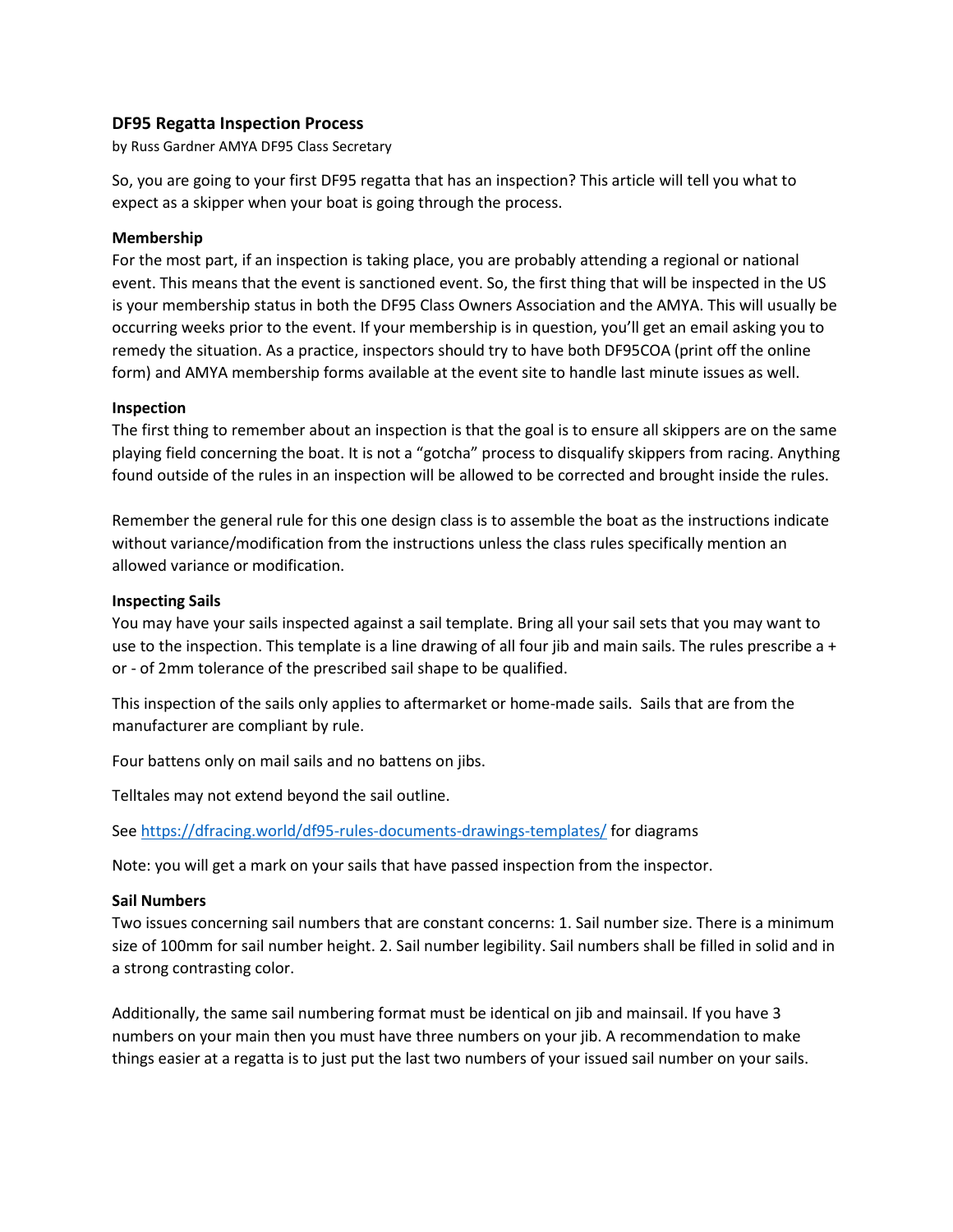# **DF95 Regatta Inspection Process**

by Russ Gardner AMYA DF95 Class Secretary

So, you are going to your first DF95 regatta that has an inspection? This article will tell you what to expect as a skipper when your boat is going through the process.

### **Membership**

For the most part, if an inspection is taking place, you are probably attending a regional or national event. This means that the event is sanctioned event. So, the first thing that will be inspected in the US is your membership status in both the DF95 Class Owners Association and the AMYA. This will usually be occurring weeks prior to the event. If your membership is in question, you'll get an email asking you to remedy the situation. As a practice, inspectors should try to have both DF95COA (print off the online form) and AMYA membership forms available at the event site to handle last minute issues as well.

### **Inspection**

The first thing to remember about an inspection is that the goal is to ensure all skippers are on the same playing field concerning the boat. It is not a "gotcha" process to disqualify skippers from racing. Anything found outside of the rules in an inspection will be allowed to be corrected and brought inside the rules.

Remember the general rule for this one design class is to assemble the boat as the instructions indicate without variance/modification from the instructions unless the class rules specifically mention an allowed variance or modification.

### **Inspecting Sails**

You may have your sails inspected against a sail template. Bring all your sail sets that you may want to use to the inspection. This template is a line drawing of all four jib and main sails. The rules prescribe a + or - of 2mm tolerance of the prescribed sail shape to be qualified.

This inspection of the sails only applies to aftermarket or home-made sails. Sails that are from the manufacturer are compliant by rule.

Four battens only on mail sails and no battens on jibs.

Telltales may not extend beyond the sail outline.

Se[e https://dfracing.world/df95-rules-documents-drawings-templates/](https://dfracing.world/df95-rules-documents-drawings-templates/) for diagrams

Note: you will get a mark on your sails that have passed inspection from the inspector.

#### **Sail Numbers**

Two issues concerning sail numbers that are constant concerns: 1. Sail number size. There is a minimum size of 100mm for sail number height. 2. Sail number legibility. Sail numbers shall be filled in solid and in a strong contrasting color.

Additionally, the same sail numbering format must be identical on jib and mainsail. If you have 3 numbers on your main then you must have three numbers on your jib. A recommendation to make things easier at a regatta is to just put the last two numbers of your issued sail number on your sails.